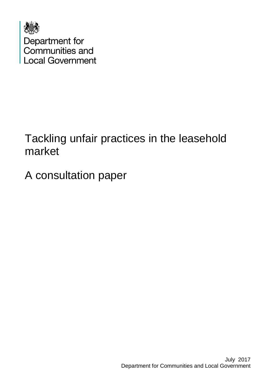

## Tackling unfair practices in the leasehold market

A consultation paper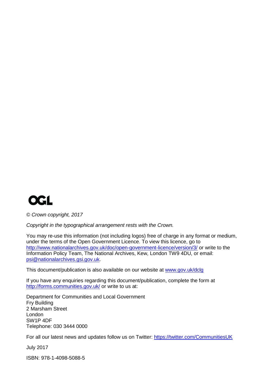

*© Crown copyright, 2017*

*Copyright in the typographical arrangement rests with the Crown.*

You may re-use this information (not including logos) free of charge in any format or medium, under the terms of the Open Government Licence. To view this licence, go to <http://www.nationalarchives.gov.uk/doc/open-government-licence/version/3/> or write to the Information Policy Team, The National Archives, Kew, London TW9 4DU, or email: [psi@nationalarchives.gsi.gov.uk.](mailto:psi@nationalarchives.gsi.gov.uk)

This document/publication is also available on our website at [www.gov.uk/dclg](http://www.gov.uk/dclg)

If you have any enquiries regarding this document/publication, complete the form at <http://forms.communities.gov.uk/> or write to us at:

Department for Communities and Local Government Fry Building 2 Marsham Street London SW1P 4DF Telephone: 030 3444 0000

For all our latest news and updates follow us on Twitter:<https://twitter.com/CommunitiesUK>

July 2017

ISBN: 978-1-4098-5088-5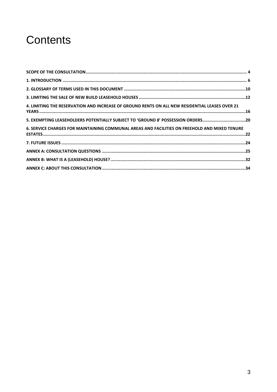## **Contents**

| 4. LIMITING THE RESERVATION AND INCREASE OF GROUND RENTS ON ALL NEW RESIDENTIAL LEASES OVER 21 |  |
|------------------------------------------------------------------------------------------------|--|
| 5. EXEMPTING LEASEHOLDERS POTENTIALLY SUBJECT TO 'GROUND 8' POSSESSION ORDERS20                |  |
| 6. SERVICE CHARGES FOR MAINTAINING COMMUNAL AREAS AND FACILITIES ON FREEHOLD AND MIXED TENURE  |  |
|                                                                                                |  |
|                                                                                                |  |
|                                                                                                |  |
|                                                                                                |  |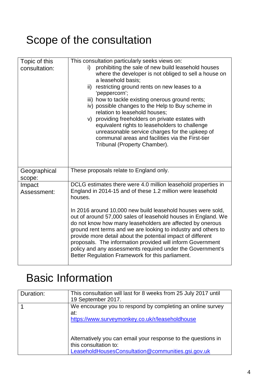# <span id="page-3-0"></span>Scope of the consultation

| Topic of this<br>consultation: | This consultation particularly seeks views on:<br>prohibiting the sale of new build leasehold houses<br>i)<br>where the developer is not obliged to sell a house on<br>a leasehold basis;<br>ii) restricting ground rents on new leases to a<br>'peppercorn';<br>iii) how to tackle existing onerous ground rents;<br>iv) possible changes to the Help to Buy scheme in<br>relation to leasehold houses;<br>v) providing freeholders on private estates with<br>equivalent rights to leaseholders to challenge<br>unreasonable service charges for the upkeep of<br>communal areas and facilities via the First-tier<br>Tribunal (Property Chamber). |
|--------------------------------|------------------------------------------------------------------------------------------------------------------------------------------------------------------------------------------------------------------------------------------------------------------------------------------------------------------------------------------------------------------------------------------------------------------------------------------------------------------------------------------------------------------------------------------------------------------------------------------------------------------------------------------------------|
| Geographical<br>scope:         | These proposals relate to England only.                                                                                                                                                                                                                                                                                                                                                                                                                                                                                                                                                                                                              |
| Impact<br>Assessment:          | DCLG estimates there were 4.0 million leasehold properties in<br>England in 2014-15 and of these 1.2 million were leasehold<br>houses.<br>In 2016 around 10,000 new build leasehold houses were sold,<br>out of around 57,000 sales of leasehold houses in England. We<br>do not know how many leaseholders are affected by onerous<br>ground rent terms and we are looking to industry and others to<br>provide more detail about the potential impact of different<br>proposals. The information provided will inform Government<br>policy and any assessments required under the Government's<br>Better Regulation Framework for this parliament. |

# Basic Information

| Duration: | This consultation will last for 8 weeks from 25 July 2017 until |
|-----------|-----------------------------------------------------------------|
|           | 19 September 2017.                                              |
|           | We encourage you to respond by completing an online survey      |
|           | at:                                                             |
|           | https://www.surveymonkey.co.uk/r/leaseholdhouse                 |
|           |                                                                 |
|           |                                                                 |
|           | Alternatively you can email your response to the questions in   |
|           | this consultation to:                                           |
|           | LeaseholdHousesConsultation@communities.gsi.gov.uk              |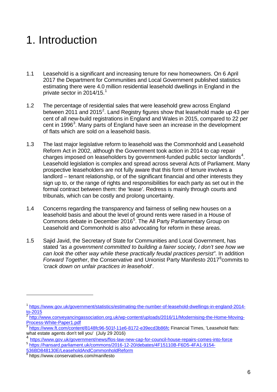# <span id="page-5-0"></span>1. Introduction

- 1.1 Leasehold is a significant and increasing tenure for new homeowners. On 6 April 2017 the Department for Communities and Local Government published statistics estimating there were 4.0 million residential leasehold dwellings in England in the private sector in 20[1](#page-5-1)4/15.<sup>1</sup>
- 1.2 The percentage of residential sales that were leasehold grew across England between [2](#page-5-2)011 and 2015<sup>2</sup>. Land Registry figures show that leasehold made up 43 per cent of all new-build registrations in England and Wales in 2015, compared to 22 per cent in 1996<sup>[3](#page-5-3)</sup>. Many parts of England have seen an increase in the development of flats which are sold on a leasehold basis.
- 1.3 The last major legislative reform to leasehold was the Commonhold and Leasehold Reform Act in 2002, although the Government took action in 2014 to cap repair charges imposed on leaseholders by government-funded public sector landlords $4$ . Leasehold legislation is complex and spread across several Acts of Parliament. Many prospective leaseholders are not fully aware that this form of tenure involves a landlord – tenant relationship, or of the significant financial and other interests they sign up to, or the range of rights and responsibilities for each party as set out in the formal contract between them: the 'lease'. Redress is mainly through courts and tribunals, which can be costly and prolong uncertainty.
- 1.4 Concerns regarding the transparency and fairness of selling new houses on a leasehold basis and about the level of ground rents were raised in a House of Commons debate in December 2016<sup>[5](#page-5-5)</sup>. The All Party Parliamentary Group on Leasehold and Commonhold is also advocating for reform in these areas.
- 1.5 Sajid Javid, the Secretary of State for Communities and Local Government, has stated *"as a government committed to building a fairer society, I don't see how we can look the other way while these practically feudal practices persist"*. In addition Forward Together, the Conservative and Unionist Party Manifesto 2017<sup>[6](#page-5-6)</sup> commits to *'crack down on unfair practices in leasehold*'.

-

<span id="page-5-1"></span><sup>&</sup>lt;sup>1</sup> [https://www.gov.uk/government/statistics/estimating-the-number-of-leasehold-dwellings-in-england-2014](https://www.gov.uk/government/statistics/estimating-the-number-of-leasehold-dwellings-in-england-2014-to-2015) [to-2015](https://www.gov.uk/government/statistics/estimating-the-number-of-leasehold-dwellings-in-england-2014-to-2015)

<span id="page-5-2"></span> $\frac{2 \text{ http://www.comveyancing association.org.uk/wp-content/uploads/2016/11/Modernising-the-Home-Moving-  
Process-White-Paper1.pdf}{\text{Process-White-Paper1.pdf}}$ 

<span id="page-5-3"></span> $\frac{3}{3}$  <https://www.ft.com/content/8148fc96-501f-11e6-8172-e39ecd3b86fc> Financial Times, 'Leasehold flats:<br>what estate agents don't tell you' (July 29 2016)

<span id="page-5-4"></span><https://www.gov.uk/government/news/flos-law-new-cap-for-council-house-repairs-comes-into-force>

<span id="page-5-5"></span><sup>5</sup> [https://hansard.parliament.uk/commons/2016-12-20/debates/4F15110B-F6D5-4FA1-9154-](https://hansard.parliament.uk/commons/2016-12-20/debates/4F15110B-F6D5-4FA1-9154-536BD848130E/LeaseholdAndCommonholdReform)

[<sup>536</sup>BD848130E/LeaseholdAndCommonholdReform](https://hansard.parliament.uk/commons/2016-12-20/debates/4F15110B-F6D5-4FA1-9154-536BD848130E/LeaseholdAndCommonholdReform)

<span id="page-5-6"></span><sup>6</sup> https://www.conservatives.com/manifesto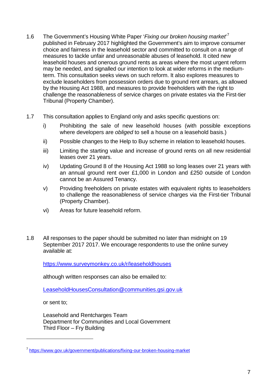- 1.6 The Government's Housing White Paper '*Fixing our broken housing market*' [7](#page-6-0) published in February 2017 highlighted the Government's aim to improve consumer choice and fairness in the leasehold sector and committed to consult on a range of measures to tackle unfair and unreasonable abuses of leasehold. It cited new leasehold houses and onerous ground rents as areas where the most urgent reform may be needed, and signalled our intention to look at wider reforms in the mediumterm. This consultation seeks views on such reform. It also explores measures to exclude leaseholders from possession orders due to ground rent arrears, as allowed by the Housing Act 1988, and measures to provide freeholders with the right to challenge the reasonableness of service charges on private estates via the First-tier Tribunal (Property Chamber).
- 1.7 This consultation applies to England only and asks specific questions on:
	- i) Prohibiting the sale of new leasehold houses (with possible exceptions where developers are *obliged* to sell a house on a leasehold basis.)
	- ii) Possible changes to the Help to Buy scheme in relation to leasehold houses.
	- iii) Limiting the starting value and increase of ground rents on all new residential leases over 21 years.
	- iv) Updating Ground 8 of the Housing Act 1988 so long leases over 21 years with an annual ground rent over £1,000 in London and £250 outside of London cannot be an Assured Tenancy.
	- v) Providing freeholders on private estates with equivalent rights to leaseholders to challenge the reasonableness of service charges via the First-tier Tribunal (Property Chamber).
	- vi) Areas for future leasehold reform.
- 1.8 All responses to the paper should be submitted no later than midnight on 19 September 2017 2017. We encourage respondents to use the online survey available at:

<https://www.surveymonkey.co.uk/r/leaseholdhouses>

although written responses can also be emailed to:

[LeaseholdHousesConsultation@communities.gsi.gov.uk](mailto:LeaseholdHousesConsultation@communities.gsi.gov.uk)

or sent to;

-

Leasehold and Rentcharges Team Department for Communities and Local Government Third Floor – Fry Building

<span id="page-6-0"></span><sup>7</sup> <https://www.gov.uk/government/publications/fixing-our-broken-housing-market>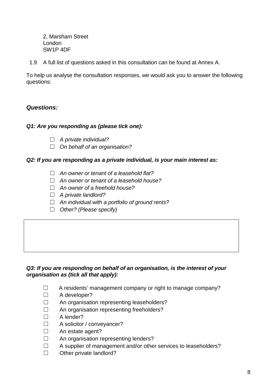2, Marsham Street London SW1P 4DF

1.9 A full list of questions asked in this consultation can be found at Annex A.

To help us analyse the consultation responses, we would ask you to answer the following questions:

#### *Questions:*

#### *Q1: Are you responding as (please tick one):*

- ☐ *A private individual?*
- ☐ *On behalf of an organisation?*

#### *Q2: If you are responding as a private individual, is your main interest as:*

- ☐ *An owner or tenant of a leasehold flat?*
- ☐ *An owner or tenant of a leasehold house?*
- ☐ *An owner of a freehold house?*
- ☐ *A private landlord?*
- ☐ *An individual with a portfolio of ground rents?*
- ☐ *Other? (Please specify)*

#### *Q3: If you are responding on behalf of an organisation, is the interest of your organisation as (tick all that apply):*

- ☐A residents' management company or right to manage company?
- ☐ A developer?
- ☐ An organisation representing leaseholders?
- ☐ An organisation representing freeholders?
- ☐ A lender?
- □ A solicitor / convevancer?
- □ An estate agent?
- ☐ An organisation representing lenders?
- ☐ A supplier of management and/or other services to leaseholders?
- ☐ Other private landlord?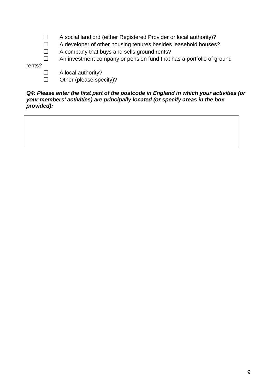- ☐ A social landlord (either Registered Provider or local authority)?
- ☐ A developer of other housing tenures besides leasehold houses?
- ☐ A company that buys and sells ground rents?

☐ An investment company or pension fund that has a portfolio of ground

rents?

- □ A local authority?
- ☐ Other (please specify)?

#### *Q4: Please enter the first part of the postcode in England in which your activities (or your members' activities) are principally located (or specify areas in the box provided):*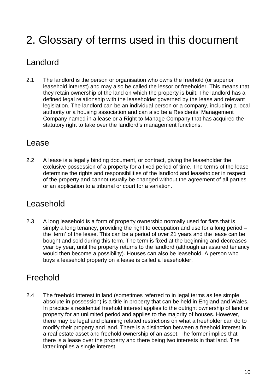# <span id="page-9-0"></span>2. Glossary of terms used in this document

### Landlord

2.1 The landlord is the person or organisation who owns the freehold (or superior leasehold interest) and may also be called the lessor or freeholder. This means that they retain ownership of the land on which the property is built. The landlord has a defined legal relationship with the leaseholder governed by the lease and relevant legislation. The landlord can be an individual person or a company, including a local authority or a housing association and can also be a Residents' Management Company named in a lease or a Right to Manage Company that has acquired the statutory right to take over the landlord's management functions.

### Lease

2.2 A lease is a legally binding document, or contract, giving the leaseholder the exclusive possession of a property for a fixed period of time. The terms of the lease determine the rights and responsibilities of the landlord and leaseholder in respect of the property and cannot usually be changed without the agreement of all parties or an application to a tribunal or court for a variation.

### Leasehold

2.3 A long leasehold is a form of property ownership normally used for flats that is simply a long tenancy, providing the right to occupation and use for a long period – the 'term' of the lease. This can be a period of over 21 years and the lease can be bought and sold during this term. The term is fixed at the beginning and decreases year by year, until the property returns to the landlord (although an assured tenancy would then become a possibility). Houses can also be leasehold. A person who buys a leasehold property on a lease is called a leaseholder.

### Freehold

2.4 The freehold interest in land (sometimes referred to in legal terms as fee simple absolute in possession) is a title in property that can be held in England and Wales. In practice a residential freehold interest applies to the outright ownership of land or property for an unlimited period and applies to the majority of houses. However, there may be legal and planning related restrictions on what a freeholder can do to modify their property and land. There is a distinction between a freehold interest in a real estate asset and freehold ownership of an asset. The former implies that there is a lease over the property and there being two interests in that land. The latter implies a single interest.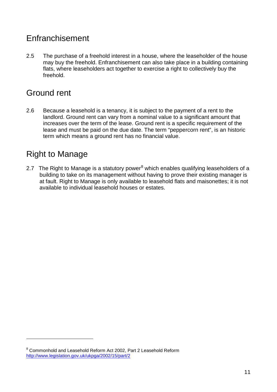### Enfranchisement

2.5 The purchase of a freehold interest in a house, where the leaseholder of the house may buy the freehold. Enfranchisement can also take place in a building containing flats, where leaseholders act together to exercise a right to collectively buy the freehold.

### Ground rent

2.6 Because a leasehold is a tenancy, it is subject to the payment of a rent to the landlord. Ground rent can vary from a nominal value to a significant amount that increases over the term of the lease. Ground rent is a specific requirement of the lease and must be paid on the due date. The term "peppercorn rent", is an historic term which means a ground rent has no financial value.

### Right to Manage

-

2.7 The Right to Manage is a statutory power<sup>[8](#page-10-0)</sup> which enables qualifying leaseholders of a building to take on its management without having to prove their existing manager is at fault. Right to Manage is only available to leasehold flats and maisonettes; it is not available to individual leasehold houses or estates.

<span id="page-10-0"></span><sup>8</sup> Commonhold and Leasehold Reform Act 2002, Part 2 Leasehold Reform <http://www.legislation.gov.uk/ukpga/2002/15/part/2>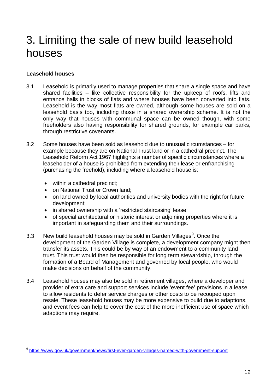## <span id="page-11-0"></span>3. Limiting the sale of new build leasehold houses

#### **Leasehold houses**

-

- 3.1 Leasehold is primarily used to manage properties that share a single space and have shared facilities – like collective responsibility for the upkeep of roofs, lifts and entrance halls in blocks of flats and where houses have been converted into flats. Leasehold is the way most flats are owned, although some houses are sold on a leasehold basis too, including those in a [shared ownership scheme.](http://england.shelter.org.uk/get_advice/Buying_and_selling/home_ownership_schemes/shared_ownership_schemes) It is not the only way that houses with communal space can be owned though, with some freeholders also having responsibility for shared grounds, for example car parks, through restrictive covenants.
- 3.2 Some houses have been sold as leasehold due to unusual circumstances for example because they are on National Trust land or in a cathedral precinct. The Leasehold Reform Act 1967 highlights a number of specific circumstances where a leaseholder of a house is prohibited from extending their lease or enfranchising (purchasing the freehold), including where a leasehold house is:
	- within a cathedral precinct:
	- on National Trust or Crown land;
	- on land owned by local authorities and university bodies with the right for future development;
	- in shared ownership with a 'restricted staircasing' lease;
	- of special architectural or historic interest or adjoining properties where it is important in safeguarding them and their surroundings.
- 3.3 New build leasehold houses may be sold in Garden Villages<sup>[9](#page-11-1)</sup>. Once the development of the Garden Village is complete, a development company might then transfer its assets. This could be by way of an endowment to a community land trust. This trust would then be responsible for long term stewardship, through the formation of a Board of Management and governed by local people, who would make decisions on behalf of the community.
- 3.4 Leasehold houses may also be sold in retirement villages, where a developer and provider of extra care and support services include 'event fee' provisions in a lease to allow residents to defer service charges or other costs to be recouped upon resale. These leasehold houses may be more expensive to build due to adaptions, and event fees can help to cover the cost of the more inefficient use of space which adaptions may require.

<span id="page-11-1"></span><sup>9</sup> <https://www.gov.uk/government/news/first-ever-garden-villages-named-with-government-support>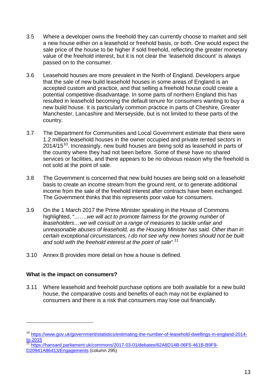- 3.5 Where a developer owns the freehold they can currently choose to market and sell a new house either on a leasehold or freehold basis, or both. One would expect the sale price of the house to be higher if sold freehold, reflecting the greater monetary value of the freehold interest, but it is not clear the 'leasehold discount' is always passed on to the consumer.
- 3.6 Leasehold houses are more prevalent in the North of England. Developers argue that the sale of new build leasehold houses in some areas of England is an accepted custom and practice, and that selling a freehold house could create a potential competitive disadvantage. In some parts of northern England this has resulted in leasehold becoming the default tenure for consumers wanting to buy a new build house. It is particularly common practice in parts of Cheshire, Greater Manchester, Lancashire and Merseyside, but is not limited to these parts of the country.
- 3.7 The Department for Communities and Local Government estimate that there were 1.2 million leasehold houses in the owner occupied and private rented sectors in  $2014/15^{10}$  $2014/15^{10}$  $2014/15^{10}$ . Increasingly, new build houses are being sold as leasehold in parts of the country where they had not been before. Some of these have no shared services or facilities, and there appears to be no obvious reason why the freehold is not sold at the point of sale.
- 3.8 The Government is concerned that new build houses are being sold on a leasehold basis to create an income stream from the ground rent, or to generate additional income from the sale of the freehold interest after contracts have been exchanged. The Government thinks that this represents poor value for consumers.
- 3.9 On the 1 March 2017 the Prime Minister speaking in the House of Commons highlighted, "*…….we will act to promote fairness for the growing number of leaseholders…we will consult on a range of measures to tackle unfair and unreasonable abuses of leasehold, as the Housing Minister has said. Other than in certain exceptional circumstances, I do not see why new homes should not be built and sold with the freehold interest at the point of sale*". *[11](#page-12-1)*
- 3.10 Annex B provides more detail on how a house is defined.

#### **What is the impact on consumers?**

-

3.11 Where leasehold and freehold purchase options are both available for a new build house, the comparative costs and benefits of each may not be explained to consumers and there is a risk that consumers may lose out financially.

<span id="page-12-0"></span><sup>&</sup>lt;sup>10</sup> https://www<u>.gov.uk/government/statistics/estimating-the-number-of-leasehold-dwellings-in-england-2014-</u>  $\frac{10-2015}{11}$ 

<span id="page-12-1"></span><sup>11</sup> [https://hansard.parliament.uk/commons/2017-03-01/debates/62A8D14B-06F5-461B-B9F9-](https://hansard.parliament.uk/commons/2017-03-01/debates/62A8D14B-06F5-461B-B9F9-D20941A86413/Engagements) [D20941A86413/Engagements](https://hansard.parliament.uk/commons/2017-03-01/debates/62A8D14B-06F5-461B-B9F9-D20941A86413/Engagements) (column 295)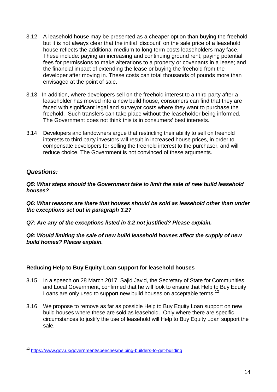- 3.12 A leasehold house may be presented as a cheaper option than buying the freehold but it is not always clear that the initial 'discount' on the sale price of a leasehold house reflects the additional medium to long term costs leaseholders may face. These include: paying an increasing and continuing ground rent; paying potential fees for permissions to make alterations to a property or covenants in a lease; and the financial impact of extending the lease or buying the freehold from the developer after moving in. These costs can total thousands of pounds more than envisaged at the point of sale.
- 3.13 In addition, where developers sell on the freehold interest to a third party after a leaseholder has moved into a new build house, consumers can find that they are faced with significant legal and surveyor costs where they want to purchase the freehold. Such transfers can take place without the leaseholder being informed. The Government does not think this is in consumers' best interests.
- 3.14 Developers and landowners argue that restricting their ability to sell on freehold interests to third party investors will result in increased house prices, in order to compensate developers for selling the freehold interest to the purchaser, and will reduce choice. The Government is not convinced of these arguments.

#### *Questions:*

-

*Q5: What steps should the Government take to limit the sale of new build leasehold houses?*

*Q6: What reasons are there that houses should be sold as leasehold other than under the exceptions set out in paragraph 3.2?*

*Q7: Are any of the exceptions listed in 3.2 not justified? Please explain.*

*Q8: Would limiting the sale of new build leasehold houses affect the supply of new build homes? Please explain.*

#### **Reducing Help to Buy Equity Loan support for leasehold houses**

- 3.15 In a speech on 28 March 2017, Sajid Javid, the Secretary of State for Communities and Local Government, confirmed that he will look to ensure that Help to Buy Equity Loans are only used to support new build houses on acceptable terms.<sup>[12](#page-13-0)</sup>
- 3.16 We propose to remove as far as possible Help to Buy Equity Loan support on new build houses where these are sold as leasehold. Only where there are specific circumstances to justify the use of leasehold will Help to Buy Equity Loan support the sale.

<span id="page-13-0"></span><sup>12</sup> <https://www.gov.uk/government/speeches/helping-builders-to-get-building>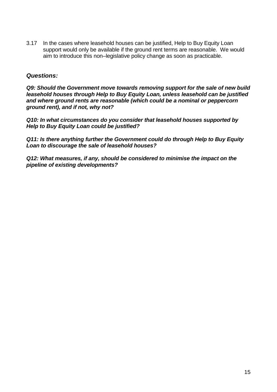3.17 In the cases where leasehold houses can be justified, Help to Buy Equity Loan support would only be available if the ground rent terms are reasonable. We would aim to introduce this non–legislative policy change as soon as practicable.

#### *Questions:*

*Q9: Should the Government move towards removing support for the sale of new build leasehold houses through Help to Buy Equity Loan, unless leasehold can be justified and where ground rents are reasonable (which could be a nominal or peppercorn ground rent), and if not, why not?*

*Q10: In what circumstances do you consider that leasehold houses supported by Help to Buy Equity Loan could be justified?* 

*Q11: Is there anything further the Government could do through Help to Buy Equity Loan to discourage the sale of leasehold houses?*

*Q12: What measures, if any, should be considered to minimise the impact on the pipeline of existing developments?*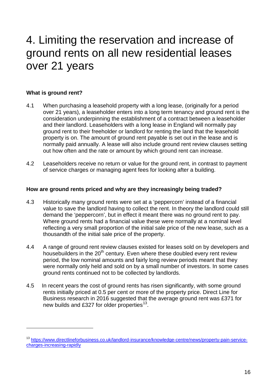## <span id="page-15-0"></span>4. Limiting the reservation and increase of ground rents on all new residential leases over 21 years

#### **What is ground rent?**

<u>.</u>

- 4.1 When purchasing a leasehold property with a long lease, (originally for a period over 21 years), a leaseholder enters into a long term tenancy and ground rent is the consideration underpinning the establishment of a contract between a leaseholder and their landlord. Leaseholders with a long lease in England will normally pay ground rent to their freeholder or landlord for renting the land that the leasehold property is on. The amount of ground rent payable is set out in the lease and is normally paid annually. A lease will also include ground rent review clauses setting out how often and the rate or amount by which ground rent can increase.
- 4.2 Leaseholders receive no return or value for the ground rent, in contrast to payment of service charges or managing agent fees for looking after a building.

#### **How are ground rents priced and why are they increasingly being traded?**

- 4.3 Historically many ground rents were set at a 'peppercorn' instead of a financial value to save the landlord having to collect the rent. In theory the landlord could still demand the 'peppercorn', but in effect it meant there was no ground rent to pay. Where ground rents had a financial value these were normally at a nominal level reflecting a very small proportion of the initial sale price of the new lease, such as a thousandth of the initial sale price of the property.
- 4.4 A range of ground rent review clauses existed for leases sold on by developers and housebuilders in the 20<sup>th</sup> century. Even where these doubled every rent review period, the low nominal amounts and fairly long review periods meant that they were normally only held and sold on by a small number of investors. In some cases ground rents continued not to be collected by landlords.
- 4.5 In recent years the cost of ground rents has risen significantly, with some ground rents initially priced at 0.5 per cent or more of the property price. Direct Line for Business research in 2016 suggested that the average ground rent was £371 for new builds and £327 for older properties $^{13}$  $^{13}$  $^{13}$ .

<span id="page-15-1"></span><sup>13</sup> [https://www.directlineforbusiness.co.uk/landlord-insurance/knowledge-centre/news/property-pain-service](https://www.directlineforbusiness.co.uk/landlord-insurance/knowledge-centre/news/property-pain-service-charges-increasing-rapidly)[charges-increasing-rapidly](https://www.directlineforbusiness.co.uk/landlord-insurance/knowledge-centre/news/property-pain-service-charges-increasing-rapidly)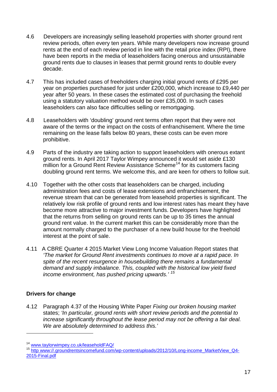- 4.6 Developers are increasingly selling leasehold properties with shorter ground rent review periods, often every ten years. While many developers now increase ground rents at the end of each review period in line with the retail price index (RPI), there have been reports in the media of leaseholders facing onerous and unsustainable ground rents due to clauses in leases that permit ground rents to double every decade.
- 4.7 This has included cases of freeholders charging initial ground rents of £295 per year on properties purchased for just under £200,000, which increase to £9,440 per year after 50 years. In these cases the estimated cost of purchasing the freehold using a statutory valuation method would be over £35,000. In such cases leaseholders can also face difficulties selling or remortgaging.
- 4.8 Leaseholders with 'doubling' ground rent terms often report that they were not aware of the terms or the impact on the costs of enfranchisement. Where the time remaining on the lease falls below 80 years, these costs can be even more prohibitive.
- 4.9 Parts of the industry are taking action to support leaseholders with onerous extant ground rents. In April 2017 Taylor Wimpey announced it would set aside £130 million for a Ground Rent Review Assistance Scheme<sup>[14](#page-16-0)</sup> for its customers facing doubling ground rent terms. We welcome this, and are keen for others to follow suit.
- 4.10 Together with the other costs that leaseholders can be charged, including administration fees and costs of lease extensions and enfranchisement, the revenue stream that can be generated from leasehold properties is significant. The relatively low risk profile of ground rents and low interest rates has meant they have become more attractive to major investment funds. Developers have highlighted that the returns from selling on ground rents can be up to 35 times the annual ground rent value. In the current market this can be considerably more than the amount normally charged to the purchaser of a new build house for the freehold interest at the point of sale.
- 4.11 A CBRE Quarter 4 2015 Market View Long Income Valuation Report states that *'The market for Ground Rent investments continues to move at a rapid pace. In spite of the recent resurgence in housebuilding there remains a fundamental demand and supply imbalance. This, coupled with the historical low yield fixed income environment, has pushed pricing upwards.' [15](#page-16-1)*

#### **Drivers for change**

-

4.12 Paragraph 4.37 of the Housing White Paper *Fixing our broken housing market*  states; *'In particular, ground rents with short review periods and the potential to increase significantly throughout the lease period may not be offering a fair deal. We are absolutely determined to address this.'*

<span id="page-16-1"></span>

<span id="page-16-0"></span><sup>&</sup>lt;sup>14</sup> [www.taylorwimpey.co.uk/leaseholdFAQ/](http://www.taylorwimpey.co.uk/leaseholdFAQ/)<br><sup>15</sup> http [www://.groundrentsincomefund.com/wp-content/uploads/2012/10/Long-income\\_MarketView\\_Q4-](http://www.groundrentsincomefund.com/wp-content/uploads/2012/10/Long-income_MarketView_Q4-2015-Final.pdf) [2015-Final.pdf](http://www.groundrentsincomefund.com/wp-content/uploads/2012/10/Long-income_MarketView_Q4-2015-Final.pdf)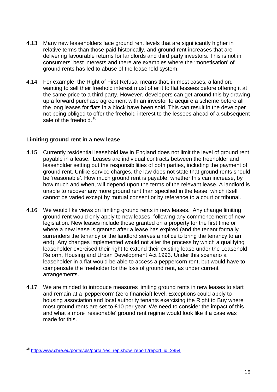- 4.13 Many new leaseholders face ground rent levels that are significantly higher in relative terms than those paid historically, and ground rent increases that are delivering favourable returns for landlords and third party investors. This is not in consumers' best interests and there are examples where the 'monetisation' of ground rents has led to abuse of the leasehold system.
- 4.14 For example, the Right of First Refusal means that, in most cases, a landlord wanting to sell their freehold interest must offer it to flat lessees before offering it at the same price to a third party. However, developers can get around this by drawing up a forward purchase agreement with an investor to acquire a scheme before all the long leases for flats in a block have been sold. This can result in the developer not being obliged to offer the freehold interest to the lessees ahead of a subsequent sale of the freehold.<sup>[16](#page-17-0)</sup>

#### **Limiting ground rent in a new lease**

- 4.15 Currently residential leasehold law in England does not limit the level of ground rent payable in a lease. Leases are individual contracts between the freeholder and leaseholder setting out the responsibilities of both parties, including the payment of ground rent. Unlike service charges, the law does not state that ground rents should be 'reasonable'. How much ground rent is payable, whether this can increase, by how much and when, will depend upon the terms of the relevant lease. A landlord is unable to recover any more ground rent than specified in the lease, which itself cannot be varied except by mutual consent or by reference to a court or tribunal.
- 4.16 We would like views on limiting ground rents in new leases. Any change limiting ground rent would only apply to new leases, following any commencement of new legislation. New leases include those granted on a property for the first time or where a new lease is granted after a lease has expired (and the tenant formally surrenders the tenancy or the landlord serves a notice to bring the tenancy to an end). Any changes implemented would not alter the process by which a qualifying leaseholder exercised their right to extend their existing lease under the Leasehold Reform, Housing and Urban Development Act 1993. Under this scenario a leaseholder in a flat would be able to access a peppercorn rent, but would have to compensate the freeholder for the loss of ground rent, as under current arrangements.
- 4.17 We are minded to introduce measures limiting ground rents in new leases to start and remain at a 'peppercorn' (zero financial) level. Exceptions could apply to housing association and local authority tenants exercising the Right to Buy where most ground rents are set to £10 per year. We need to consider the impact of this and what a more 'reasonable' ground rent regime would look like if a case was made for this.

-

<span id="page-17-0"></span><sup>&</sup>lt;sup>16</sup> [http://www.cbre.eu/portal/pls/portal/res\\_rep.show\\_report?report\\_id=2854](http://www.cbre.eu/portal/pls/portal/res_rep.show_report?report_id=2854)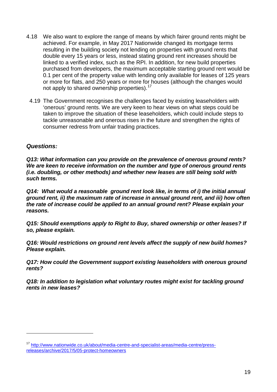- 4.18 We also want to explore the range of means by which fairer ground rents might be achieved. For example, in May 2017 Nationwide changed its mortgage terms resulting in the building society not lending on properties with ground rents that double every 15 years or less, instead stating ground rent increases should be linked to a verified index, such as the RPI. In addition, for new build properties purchased from developers, the maximum acceptable starting ground rent would be 0.1 per cent of the property value with lending only available for leases of 125 years or more for flats, and 250 years or more for houses (although the changes would not apply to shared ownership properties).<sup>[17](#page-18-0)</sup>
	- 4.19 The Government recognises the challenges faced by existing leaseholders with 'onerous' ground rents. We are very keen to hear views on what steps could be taken to improve the situation of these leaseholders, which could include steps to tackle unreasonable and onerous rises in the future and strengthen the rights of consumer redress from unfair trading practices.

#### *Questions:*

-

*Q13: What information can you provide on the prevalence of onerous ground rents? We are keen to receive information on the number and type of onerous ground rents (i.e. doubling, or other methods) and whether new leases are still being sold with such terms.*

*Q14: What would a reasonable ground rent look like, in terms of i) the initial annual ground rent, ii) the maximum rate of increase in annual ground rent, and iii) how often the rate of increase could be applied to an annual ground rent? Please explain your reasons.*

*Q15: Should exemptions apply to Right to Buy, shared ownership or other leases? If so, please explain.*

*Q16: Would restrictions on ground rent levels affect the supply of new build homes? Please explain.*

*Q17: How could the Government support existing leaseholders with onerous ground rents?*

*Q18: In addition to legislation what voluntary routes might exist for tackling ground rents in new leases?*

<span id="page-18-0"></span><sup>17</sup> [http://www.nationwide.co.uk/about/media-centre-and-specialist-areas/media-centre/press](http://www.nationwide.co.uk/about/media-centre-and-specialist-areas/media-centre/press-releases/archive/2017/5/05-protect-homeowners)[releases/archive/2017/5/05-protect-homeowners](http://www.nationwide.co.uk/about/media-centre-and-specialist-areas/media-centre/press-releases/archive/2017/5/05-protect-homeowners)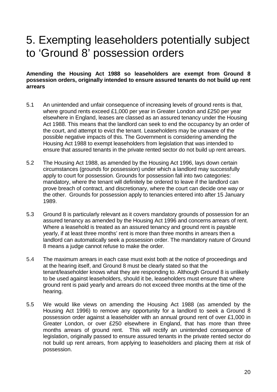## <span id="page-19-0"></span>5. Exempting leaseholders potentially subject to 'Ground 8' possession orders

#### **Amending the Housing Act 1988 so leaseholders are exempt from Ground 8 possession orders, originally intended to ensure assured tenants do not build up rent arrears**

- 5.1 An unintended and unfair consequence of increasing levels of ground rents is that, where ground rents exceed £1,000 per year in Greater London and £250 per year elsewhere in England, leases are classed as an assured tenancy under the Housing Act 1988. This means that the landlord can seek to end the occupancy by an order of the court, and attempt to evict the tenant. Leaseholders may be unaware of the possible negative impacts of this. The Government is considering amending the Housing Act 1988 to exempt leaseholders from legislation that was intended to ensure that assured tenants in the private rented sector do not build up rent arrears.
- 5.2 The Housing Act 1988, as amended by the Housing Act 1996, lays down certain circumstances (grounds for possession) under which a landlord may successfully apply to court for possession. Grounds for possession fall into two categories: mandatory, where the tenant will definitely be ordered to leave if the landlord can prove breach of contract, and discretionary, where the court can decide one way or the other. Grounds for possession apply to tenancies entered into after 15 January 1989.
- 5.3 Ground 8 is particularly relevant as it covers mandatory grounds of possession for an assured tenancy as amended by the Housing Act 1996 and concerns arrears of rent. Where a leasehold is treated as an assured tenancy and ground rent is payable yearly, if at least three months' rent is more than three months in arrears then a landlord can automatically seek a possession order. The mandatory nature of Ground 8 means a judge cannot refuse to make the order.
- 5.4 The maximum arrears in each case must exist both at the notice of proceedings and at the hearing itself, and Ground 8 must be clearly stated so that the tenant/leaseholder knows what they are responding to. Although Ground 8 is unlikely to be used against leaseholders, should it be, leaseholders must ensure that where ground rent is paid yearly and arrears do not exceed three months at the time of the hearing.
- 5.5 We would like views on amending the Housing Act 1988 (as amended by the Housing Act 1996) to remove any opportunity for a landlord to seek a Ground 8 possession order against a leaseholder with an annual ground rent of over £1,000 in Greater London, or over £250 elsewhere in England, that has more than three months arrears of ground rent. This will rectify an unintended consequence of legislation, originally passed to ensure assured tenants in the private rented sector do not build up rent arrears, from applying to leaseholders and placing them at risk of possession.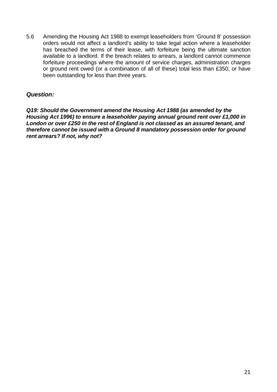5.6 Amending the Housing Act 1988 to exempt leaseholders from 'Ground 8' possession orders would not affect a landlord's ability to take legal action where a leaseholder has breached the terms of their lease, with forfeiture being the ultimate sanction available to a landlord. If the breach relates to arrears, a landlord cannot commence forfeiture proceedings where the amount of service charges, administration charges or ground rent owed (or a combination of all of these) total less than £350, or have been outstanding for less than three years.

#### *Question:*

*Q19: Should the Government amend the Housing Act 1988 (as amended by the Housing Act 1996) to ensure a leaseholder paying annual ground rent over £1,000 in London or over £250 in the rest of England is not classed as an assured tenant, and therefore cannot be issued with a Ground 8 mandatory possession order for ground rent arrears? If not, why not?*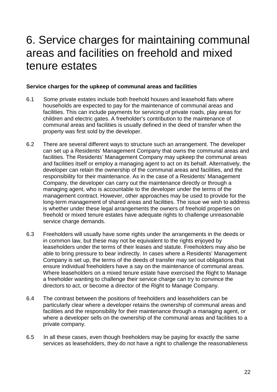## <span id="page-21-0"></span>6. Service charges for maintaining communal areas and facilities on freehold and mixed tenure estates

#### **Service charges for the upkeep of communal areas and facilities**

- 6.1 Some private estates include both freehold houses and leasehold flats where households are expected to pay for the maintenance of communal areas and facilities. This can include payments for servicing of private roads, play areas for children and electric gates. A freeholder's contribution to the maintenance of communal areas and facilities is usually defined in the deed of transfer when the property was first sold by the developer.
- 6.2 There are several different ways to structure such an arrangement. The developer can set up a Residents' Management Company that owns the communal areas and facilities. The Residents' Management Company may upkeep the communal areas and facilities itself or employ a managing agent to act on its behalf. Alternatively, the developer can retain the ownership of the communal areas and facilities, and the responsibility for their maintenance. As in the case of a Residents' Management Company, the developer can carry out the maintenance directly or through a managing agent, who is accountable to the developer under the terms of the management contract. However, other approaches may be used to provide for the long-term management of shared areas and facilities. The issue we wish to address is whether under these legal arrangements the owners of freehold properties on freehold or mixed tenure estates have adequate rights to challenge unreasonable service charge demands.
- 6.3 Freeholders will usually have some rights under the arrangements in the deeds or in common law, but these may not be equivalent to the rights enjoyed by leaseholders under the terms of their leases and statute. Freeholders may also be able to bring pressure to bear indirectly. In cases where a Residents' Management Company is set up, the terms of the deeds of transfer may set out obligations that ensure individual freeholders have a say on the maintenance of communal areas. Where leaseholders on a mixed tenure estate have exercised the Right to Manage a freeholder wanting to challenge their service charge can try to convince the directors to act, or become a director of the Right to Manage Company.
- 6.4 The contrast between the positions of freeholders and leaseholders can be particularly clear where a developer retains the ownership of communal areas and facilities and the responsibility for their maintenance through a managing agent, or where a developer sells on the ownership of the communal areas and facilities to a private company.
- 6.5 In all these cases, even though freeholders may be paying for exactly the same services as leaseholders, they do not have a right to challenge the reasonableness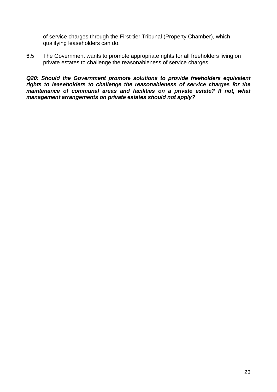of service charges through the First-tier Tribunal (Property Chamber), which qualifying leaseholders can do.

6.5 The Government wants to promote appropriate rights for all freeholders living on private estates to challenge the reasonableness of service charges.

*Q20: Should the Government promote solutions to provide freeholders equivalent rights to leaseholders to challenge the reasonableness of service charges for the maintenance of communal areas and facilities on a private estate? If not, what management arrangements on private estates should not apply?*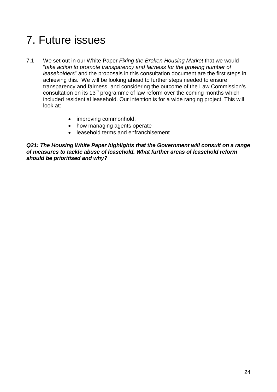# <span id="page-23-0"></span>7. Future issues

- 7.1 We set out in our White Paper *Fixing the Broken Housing Market* that we would "*take action to promote transparency and fairness for the growing number of leaseholders*" and the proposals in this consultation document are the first steps in achieving this. We will be looking ahead to further steps needed to ensure transparency and fairness, and considering the outcome of the Law Commission's consultation on its 13th programme of law reform over the coming months which included residential leasehold. Our intention is for a wide ranging project. This will look at:
	- improving commonhold,
	- how managing agents operate
	- leasehold terms and enfranchisement

*Q21: The Housing White Paper highlights that the Government will consult on a range of measures to tackle abuse of leasehold. What further areas of leasehold reform should be prioritised and why?*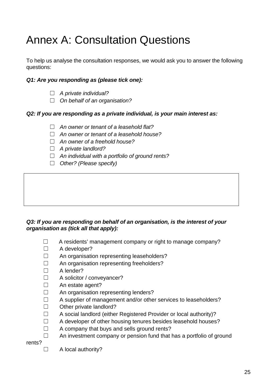# <span id="page-24-0"></span>Annex A: Consultation Questions

To help us analyse the consultation responses, we would ask you to answer the following questions:

#### *Q1: Are you responding as (please tick one):*

- ☐ *A private individual?*
- ☐ *On behalf of an organisation?*

#### *Q2: If you are responding as a private individual, is your main interest as:*

- ☐ *An owner or tenant of a leasehold flat?*
- ☐ *An owner or tenant of a leasehold house?*
- ☐ *An owner of a freehold house?*
- ☐ *A private landlord?*
- ☐ *An individual with a portfolio of ground rents?*
- ☐ *Other? (Please specify)*

#### *Q3: If you are responding on behalf of an organisation, is the interest of your organisation as (tick all that apply):*

- ☐A residents' management company or right to manage company?
- ☐ A developer?
- ☐ An organisation representing leaseholders?
- ☐ An organisation representing freeholders?
- ☐ A lender?
- □ A solicitor / conveyancer?
- □ An estate agent?
- ☐ An organisation representing lenders?
- ☐ A supplier of management and/or other services to leaseholders?
- ☐ Other private landlord?
- ☐ A social landlord (either Registered Provider or local authority)?
- ☐ A developer of other housing tenures besides leasehold houses?
- $\Box$  A company that buys and sells ground rents?
- $\Box$  An investment company or pension fund that has a portfolio of ground

rents?

□ A local authority?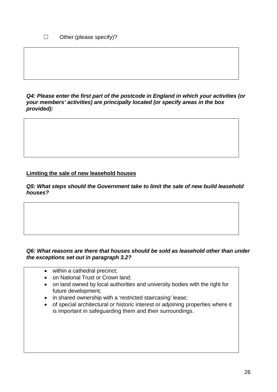*Q4: Please enter the first part of the postcode in England in which your activities (or your members' activities) are principally located (or specify areas in the box provided):*

#### **Limiting the sale of new leasehold houses**

*Q5: What steps should the Government take to limit the sale of new build leasehold houses?* 

#### *Q6: What reasons are there that houses should be sold as leasehold other than under the exceptions set out in paragraph 3.2?*

- within a cathedral precinct;
- on National Trust or Crown land;
- on land owned by local authorities and university bodies with the right for future development;
- in shared ownership with a 'restricted staircasing' lease;
- of special architectural or historic interest or adjoining properties where it is important in safeguarding them and their surroundings.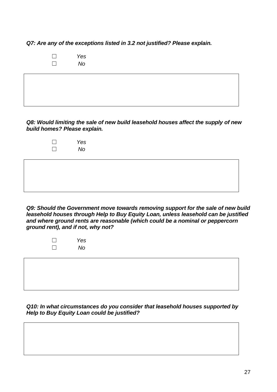*Q7: Are any of the exceptions listed in 3.2 not justified? Please explain.*

☐ *Yes* ☐ *No*

*Q8: Would limiting the sale of new build leasehold houses affect the supply of new build homes? Please explain.*

| Yes |
|-----|
| No  |

*Q9: Should the Government move towards removing support for the sale of new build leasehold houses through Help to Buy Equity Loan, unless leasehold can be justified and where ground rents are reasonable (which could be a nominal or peppercorn ground rent), and if not, why not?*

| Yes |
|-----|
| No  |

*Q10: In what circumstances do you consider that leasehold houses supported by Help to Buy Equity Loan could be justified?*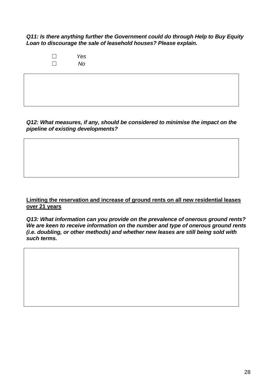*Q11: Is there anything further the Government could do through Help to Buy Equity Loan to discourage the sale of leasehold houses? Please explain.*

> ☐ *Yes* ☐ *No*

*Q12: What measures, if any, should be considered to minimise the impact on the pipeline of existing developments?* 

#### **Limiting the reservation and increase of ground rents on all new residential leases over 21 years**

*Q13: What information can you provide on the prevalence of onerous ground rents? We are keen to receive information on the number and type of onerous ground rents (i.e. doubling, or other methods) and whether new leases are still being sold with such terms.*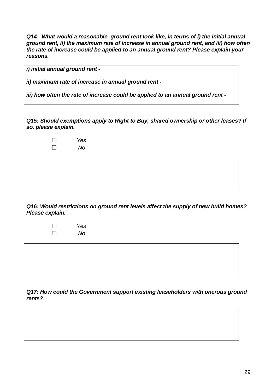*Q14: What would a reasonable ground rent look like, in terms of i) the initial annual ground rent, ii) the maximum rate of increase in annual ground rent, and iii) how often the rate of increase could be applied to an annual ground rent? Please explain your reasons.*

*i) initial annual ground rent -*

*ii) maximum rate of increase in annual ground rent -*

*iii) how often the rate of increase could be applied to an annual ground rent -*

*Q15: Should exemptions apply to Right to Buy, shared ownership or other leases? If so, please explain.*

| Yes |
|-----|
| No  |

*Q16: Would restrictions on ground rent levels affect the supply of new build homes? Please explain.*

| Yes |
|-----|
| No  |

*Q17: How could the Government support existing leaseholders with onerous ground rents?*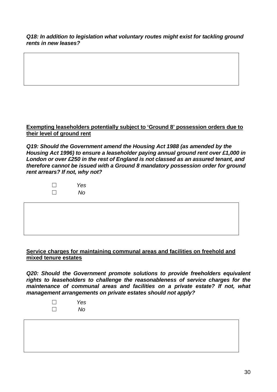*Q18: In addition to legislation what voluntary routes might exist for tackling ground rents in new leases?*

#### **Exempting leaseholders potentially subject to 'Ground 8' possession orders due to their level of ground rent**

*Q19: Should the Government amend the Housing Act 1988 (as amended by the Housing Act 1996) to ensure a leaseholder paying annual ground rent over £1,000 in London or over £250 in the rest of England is not classed as an assured tenant, and therefore cannot be issued with a Ground 8 mandatory possession order for ground rent arrears? If not, why not?*

| Yes |
|-----|
| No  |

#### **Service charges for maintaining communal areas and facilities on freehold and mixed tenure estates**

*Q20: Should the Government promote solutions to provide freeholders equivalent rights to leaseholders to challenge the reasonableness of service charges for the maintenance of communal areas and facilities on a private estate? If not, what management arrangements on private estates should not apply?*

> ☐ *Yes* ☐ *No*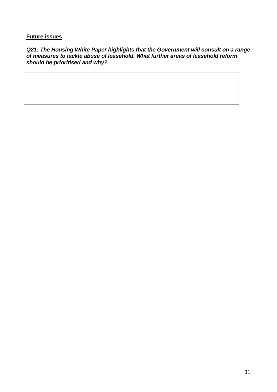#### **Future issues**

*Q21: The Housing White Paper highlights that the Government will consult on a range of measures to tackle abuse of leasehold. What further areas of leasehold reform should be prioritised and why?*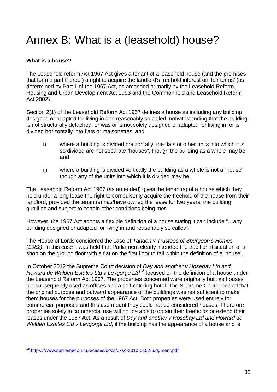# <span id="page-31-0"></span>Annex B: What is a (leasehold) house?

#### **What is a house?**

-

The Leasehold reform Act 1967 Act gives a tenant of a leasehold house (and the premises that form a part thereof) a right to acquire the landlord's freehold interest on 'fair terms' (as determined by Part 1 of the 1967 Act, as amended primarily by the Leasehold Reform, Housing and Urban Development Act 1993 and the Commonhold and Leasehold Reform Act 2002).

Section 2(1) of the Leasehold Reform Act 1967 defines a house as including any building designed or adapted for living in and reasonably so called, notwithstanding that the building is not structurally detached, or was or is not solely designed or adapted for living in, or is divided horizontally into flats or maisonettes; and

- i) where a building is divided horizontally, the flats or other units into which it is so divided are not separate "houses", though the building as a whole may be; and
- ii) where a building is divided vertically the building as a whole is not a "house" though any of the units into which it is divided may be.

The Leasehold Reform Act 1967 (as amended) gives the tenant(s) of a house which they hold under a long lease the right to compulsorily acquire the freehold of the house from their landlord, provided the tenant(s) has/have owned the lease for two years, the building qualifies and subject to certain other conditions being met.

However, the 1967 Act adopts a flexible definition of a house stating it can include "…any building designed or adapted for living in and reasonably so called".

The House of Lords considered the case of *Tandon v Trustees of Spurgeon's Homes (1982)*. In this case it was held that Parliament clearly intended the traditional situation of a shop on the ground floor with a flat on the first floor to fall within the definition of a 'house'.

In October 2012 the Supreme Court decision of *Day and another v Hosebay Ltd and Howard de Walden Estates Ltd v Lexgorge Ltd*[18](#page-31-1) focused on the definition of a house under the Leasehold Reform Act 1967. The properties concerned were originally built as houses but subsequently used as offices and a self-catering hotel. The Supreme Court decided that the original purpose and outward appearance of the buildings was not sufficient to make them houses for the purposes of the 1967 Act. Both properties were used entirely for commercial purposes and this use meant they could not be considered houses. Therefore properties solely in commercial use will not be able to obtain their freeholds or extend their leases under the 1967 Act. As a result of *Day and another v Hosebay Ltd and Howard de Walden Estates Ltd v Lexgorge Ltd*, if the building has the appearance of a house and is

<span id="page-31-1"></span><sup>18</sup> <https://www.supremecourt.uk/cases/docs/uksc-2010-0152-judgment.pdf>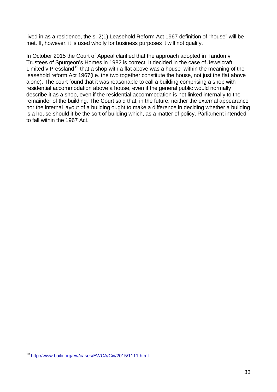lived in as a residence, the s. 2(1) Leasehold Reform Act 1967 definition of "house" will be met. If, however, it is used wholly for business purposes it will not qualify.

In October 2015 the Court of Appeal clarified that the approach adopted in Tandon v Trustees of Spurgeon's Homes in 1982 is correct. It decided in the case of [Jewelcraft](http://www.bailii.org/ew/cases/EWCA/Civ/2015/1111.html)  [Limited v Pressland](http://www.bailii.org/ew/cases/EWCA/Civ/2015/1111.html)<sup>[19](#page-32-0)</sup> that a shop with a flat above was a house within the meaning of the leasehold reform Act 1967(i.e. the two together constitute the house, not just the flat above alone). The court found that it was reasonable to call a building comprising a shop with residential accommodation above a house, even if the general public would normally describe it as a shop, even if the residential accommodation is not linked internally to the remainder of the building. The Court said that, in the future, neither the external appearance nor the internal layout of a building ought to make a difference in deciding whether a building is a house should it be the sort of building which, as a matter of policy, Parliament intended to fall within the 1967 Act.

-

<span id="page-32-0"></span><sup>19</sup> <http://www.bailii.org/ew/cases/EWCA/Civ/2015/1111.html>